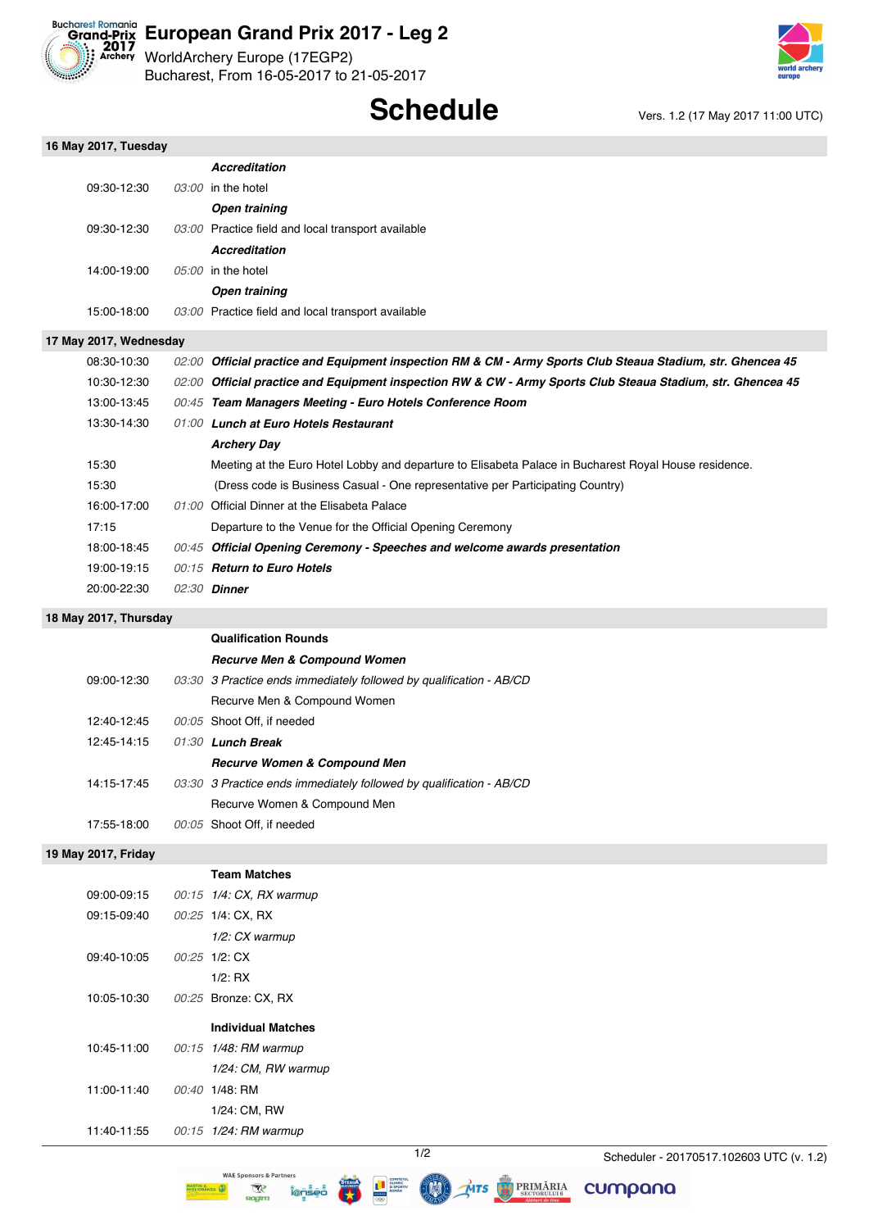

# **Eucharest Romania**<br> **Crand-Prix European Grand Prix 2017 - Leg 2**

WorldArchery Europe (17EGP2) Bucharest, From 16-05-2017 to 21-05-2017

# **Schedule** Vers. 1.2 (17 May 2017 11:00 UTC)

| 16 May 2017, Tuesday   |                                                                                                             |
|------------------------|-------------------------------------------------------------------------------------------------------------|
|                        | <b>Accreditation</b>                                                                                        |
| 09:30-12:30            | 03:00 in the hotel                                                                                          |
|                        | <b>Open training</b>                                                                                        |
| 09:30-12:30            | 03:00 Practice field and local transport available                                                          |
|                        | <b>Accreditation</b>                                                                                        |
| 14:00 19:00            | $05:00$ in the hotel                                                                                        |
|                        | <b>Open training</b>                                                                                        |
| 15:00 18:00            | 03:00 Practice field and local transport available                                                          |
| 17 May 2017, Wednesday |                                                                                                             |
| 08:30 10:30            | 02:00 Official practice and Equipment inspection RM & CM - Army Sports Club Steaua Stadium, str. Ghencea 45 |
| 10:30 12:30            | 02:00 Official practice and Equipment inspection RW & CW - Army Sports Club Steaua Stadium, str. Ghencea 45 |
| 13:00 13:45            | 00:45 Team Managers Meeting - Euro Hotels Conference Room                                                   |
| 13:30 14:30            | 01:00 Lunch at Euro Hotels Restaurant                                                                       |
|                        | <b>Archery Day</b>                                                                                          |
| 15:30                  | Meeting at the Euro Hotel Lobby and departure to Elisabeta Palace in Bucharest Royal House residence.       |
| 15:30                  | (Dress code is Business Casual - One representative per Participating Country)                              |
| 16:00 17:00            | 01:00 Official Dinner at the Elisabeta Palace                                                               |
| 17:15                  | Departure to the Venue for the Official Opening Ceremony                                                    |
| 18:00 18:45            | 00:45 Official Opening Ceremony - Speeches and welcome awards presentation                                  |
| 19:00 19:15            | 00:15 Return to Euro Hotels                                                                                 |
| 20:00-22:30            | 02:30 <b>Dinner</b>                                                                                         |
| 18 May 2017, Thursday  |                                                                                                             |
|                        | <b>Qualification Rounds</b>                                                                                 |
|                        | <b>Recurve Men &amp; Compound Women</b>                                                                     |
| 09:00-12:30            | 03:30 3 Practice ends immediately followed by qualification - AB/CD                                         |
|                        | Recurve Men & Compound Women                                                                                |
| 12:40-12:45            | 00:05 Shoot Off, if needed                                                                                  |
| 12:45 14:15            | 01:30 Lunch Break                                                                                           |
|                        | <b>Recurve Women &amp; Compound Men</b>                                                                     |
| 14:15-17:45            | 03:30 3 Practice ends immediately followed by qualification - AB/CD                                         |
|                        | Recurve Women & Compound Men                                                                                |
| 17:55-18:00            | 00:05 Shoot Off, if needed                                                                                  |
| 19 May 2017, Friday    |                                                                                                             |
|                        | <b>Team Matches</b>                                                                                         |
| 09:00-09:15            | 00:15 1/4: CX, RX warmup                                                                                    |
| 09:15 09:40            | 00:25 1/4: CX, RX                                                                                           |
|                        | 1/2: CX warmup                                                                                              |
| 09:40 10:05            | 00:25 1/2: CX                                                                                               |
|                        | $1/2$ : RX                                                                                                  |
| 10:05-10:30            | 00:25 Bronze: CX, RX                                                                                        |
|                        |                                                                                                             |
|                        | <b>Individual Matches</b>                                                                                   |
| 10:45-11:00            | 00:15 1/48: RM warmup                                                                                       |
|                        | 1/24: CM, RW warmup                                                                                         |
| 11:00-11:40            | 00:40 1/48: RM                                                                                              |
|                        | 1/24: CM, RW                                                                                                |
| 11:40-11:55            | 00:15 1/24: RM warmup                                                                                       |



MTS BECTORULUIS

WAE Sponsors & Partners

 $\mathcal{R}$ 

**ROOT** 

**Tens** 

cumpana